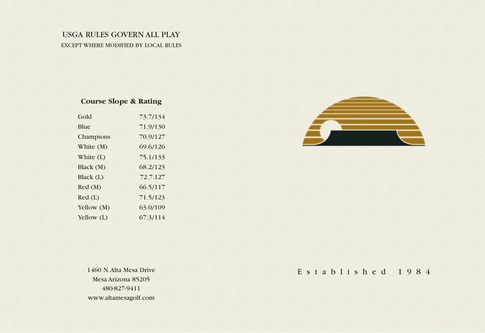## USGA RULES GOVERN ALL PLAY EXCEPT WHERE MODIFIED BY LOCAL RULES

## **Course Slope & Rating**

| Gold         | 73.7/134 |
|--------------|----------|
| Blue         | 71.9/130 |
| Champions    | 70.9/127 |
| White (M)    | 69.6/126 |
| White $(L)$  | 75.1/133 |
| Black (M)    | 68.2/123 |
| Black (L)    | 72.7.127 |
| Red(M)       | 66.5/117 |
| $Red$ (L)    | 71.5/123 |
| Yellow (M)   | 63.0/109 |
| Yellow $(L)$ | 67.3/114 |



1460 N. Alta Mesa Drive Mesa Arizona 85205 480-827-9411 www.altamesagolf.com

Established 1984